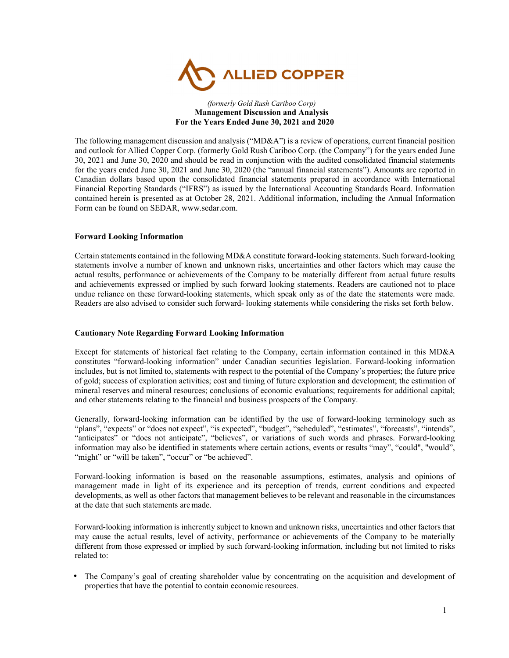

#### *(formerly Gold Rush Cariboo Corp)*  **Management Discussion and Analysis For the Years Ended June 30, 2021 and 2020**

The following management discussion and analysis ("MD&A") is a review of operations, current financial position and outlook for Allied Copper Corp. (formerly Gold Rush Cariboo Corp. (the Company") for the years ended June 30, 2021 and June 30, 2020 and should be read in conjunction with the audited consolidated financial statements for the years ended June 30, 2021 and June 30, 2020 (the "annual financial statements"). Amounts are reported in Canadian dollars based upon the consolidated financial statements prepared in accordance with International Financial Reporting Standards ("IFRS") as issued by the International Accounting Standards Board. Information contained herein is presented as at October 28, 2021. Additional information, including the Annual Information Form can be found on SEDAR, www.sedar.com.

## **Forward Looking Information**

Certain statements contained in the following MD&A constitute forward-looking statements. Such forward-looking statements involve a number of known and unknown risks, uncertainties and other factors which may cause the actual results, performance or achievements of the Company to be materially different from actual future results and achievements expressed or implied by such forward looking statements. Readers are cautioned not to place undue reliance on these forward-looking statements, which speak only as of the date the statements were made. Readers are also advised to consider such forward- looking statements while considering the risks set forth below.

# **Cautionary Note Regarding Forward Looking Information**

Except for statements of historical fact relating to the Company, certain information contained in this MD&A constitutes "forward-looking information" under Canadian securities legislation. Forward-looking information includes, but is not limited to, statements with respect to the potential of the Company's properties; the future price of gold; success of exploration activities; cost and timing of future exploration and development; the estimation of mineral reserves and mineral resources; conclusions of economic evaluations; requirements for additional capital; and other statements relating to the financial and business prospects of the Company.

Generally, forward-looking information can be identified by the use of forward-looking terminology such as "plans", "expects" or "does not expect", "is expected", "budget", "scheduled", "estimates", "forecasts", "intends", "anticipates" or "does not anticipate", "believes", or variations of such words and phrases. Forward-looking information may also be identified in statements where certain actions, events or results "may", "could", "would", "might" or "will be taken", "occur" or "be achieved".

Forward-looking information is based on the reasonable assumptions, estimates, analysis and opinions of management made in light of its experience and its perception of trends, current conditions and expected developments, as well as other factors that management believes to be relevant and reasonable in the circumstances at the date that such statements are made.

Forward-looking information is inherently subject to known and unknown risks, uncertainties and other factors that may cause the actual results, level of activity, performance or achievements of the Company to be materially different from those expressed or implied by such forward-looking information, including but not limited to risks related to:

• The Company's goal of creating shareholder value by concentrating on the acquisition and development of properties that have the potential to contain economic resources.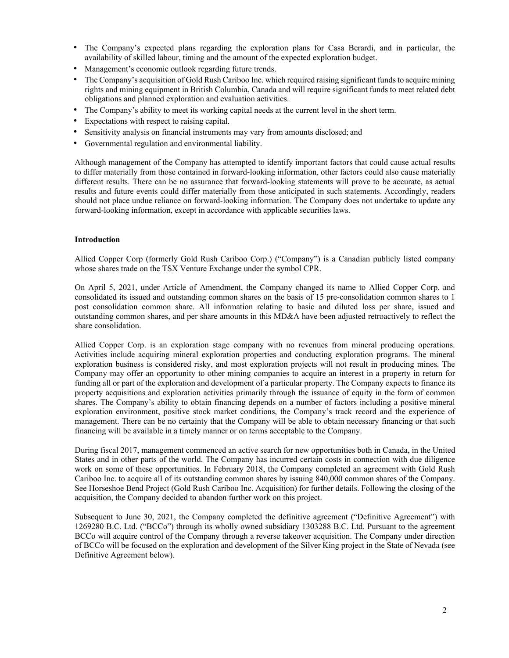- The Company's expected plans regarding the exploration plans for Casa Berardi, and in particular, the availability of skilled labour, timing and the amount of the expected exploration budget.
- Management's economic outlook regarding future trends.
- The Company's acquisition of Gold Rush Cariboo Inc. which required raising significant funds to acquire mining rights and mining equipment in British Columbia, Canada and will require significant funds to meet related debt obligations and planned exploration and evaluation activities.
- The Company's ability to meet its working capital needs at the current level in the short term.
- Expectations with respect to raising capital.
- Sensitivity analysis on financial instruments may vary from amounts disclosed; and
- Governmental regulation and environmental liability.

Although management of the Company has attempted to identify important factors that could cause actual results to differ materially from those contained in forward-looking information, other factors could also cause materially different results. There can be no assurance that forward-looking statements will prove to be accurate, as actual results and future events could differ materially from those anticipated in such statements. Accordingly, readers should not place undue reliance on forward-looking information. The Company does not undertake to update any forward-looking information, except in accordance with applicable securities laws.

# **Introduction**

Allied Copper Corp (formerly Gold Rush Cariboo Corp.) ("Company") is a Canadian publicly listed company whose shares trade on the TSX Venture Exchange under the symbol CPR.

On April 5, 2021, under Article of Amendment, the Company changed its name to Allied Copper Corp. and consolidated its issued and outstanding common shares on the basis of 15 pre-consolidation common shares to 1 post consolidation common share. All information relating to basic and diluted loss per share, issued and outstanding common shares, and per share amounts in this MD&A have been adjusted retroactively to reflect the share consolidation.

Allied Copper Corp. is an exploration stage company with no revenues from mineral producing operations. Activities include acquiring mineral exploration properties and conducting exploration programs. The mineral exploration business is considered risky, and most exploration projects will not result in producing mines. The Company may offer an opportunity to other mining companies to acquire an interest in a property in return for funding all or part of the exploration and development of a particular property. The Company expects to finance its property acquisitions and exploration activities primarily through the issuance of equity in the form of common shares. The Company's ability to obtain financing depends on a number of factors including a positive mineral exploration environment, positive stock market conditions, the Company's track record and the experience of management. There can be no certainty that the Company will be able to obtain necessary financing or that such financing will be available in a timely manner or on terms acceptable to the Company.

During fiscal 2017, management commenced an active search for new opportunities both in Canada, in the United States and in other parts of the world. The Company has incurred certain costs in connection with due diligence work on some of these opportunities. In February 2018, the Company completed an agreement with Gold Rush Cariboo Inc. to acquire all of its outstanding common shares by issuing 840,000 common shares of the Company. See Horseshoe Bend Project (Gold Rush Cariboo Inc. Acquisition) for further details. Following the closing of the acquisition, the Company decided to abandon further work on this project.

Subsequent to June 30, 2021, the Company completed the definitive agreement ("Definitive Agreement") with 1269280 B.C. Ltd. ("BCCo") through its wholly owned subsidiary 1303288 B.C. Ltd. Pursuant to the agreement BCCo will acquire control of the Company through a reverse takeover acquisition. The Company under direction of BCCo will be focused on the exploration and development of the Silver King project in the State of Nevada (see Definitive Agreement below).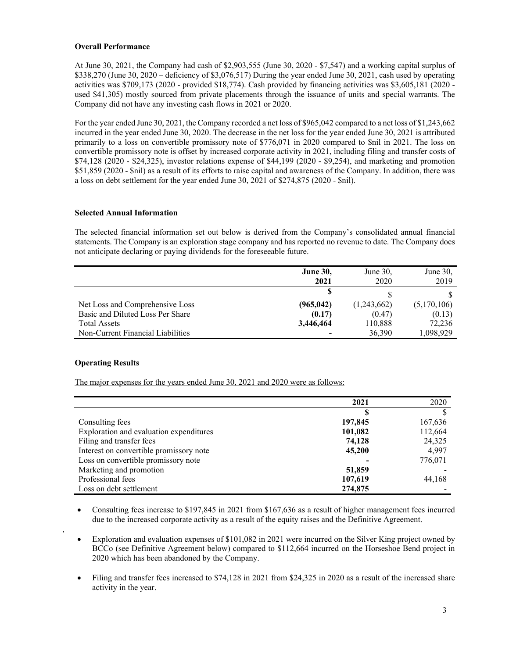# **Overall Performance**

At June 30, 2021, the Company had cash of \$2,903,555 (June 30, 2020 - \$7,547) and a working capital surplus of \$338,270 (June 30, 2020 – deficiency of \$3,076,517) During the year ended June 30, 2021, cash used by operating activities was \$709,173 (2020 - provided \$18,774). Cash provided by financing activities was \$3,605,181 (2020 used \$41,305) mostly sourced from private placements through the issuance of units and special warrants. The Company did not have any investing cash flows in 2021 or 2020.

For the year ended June 30, 2021, the Company recorded a net loss of \$965,042 compared to a net loss of \$1,243,662 incurred in the year ended June 30, 2020. The decrease in the net loss for the year ended June 30, 2021 is attributed primarily to a loss on convertible promissory note of \$776,071 in 2020 compared to \$nil in 2021. The loss on convertible promissory note is offset by increased corporate activity in 2021, including filing and transfer costs of \$74,128 (2020 - \$24,325), investor relations expense of \$44,199 (2020 - \$9,254), and marketing and promotion \$51,859 (2020 - \$nil) as a result of its efforts to raise capital and awareness of the Company. In addition, there was a loss on debt settlement for the year ended June 30, 2021 of \$274,875 (2020 - \$nil).

## **Selected Annual Information**

The selected financial information set out below is derived from the Company's consolidated annual financial statements. The Company is an exploration stage company and has reported no revenue to date. The Company does not anticipate declaring or paying dividends for the foreseeable future.

|                                   | <b>June 30,</b> | June $30$ , | June $30$ , |
|-----------------------------------|-----------------|-------------|-------------|
|                                   | 2021            | 2020        | 2019        |
|                                   |                 |             |             |
| Net Loss and Comprehensive Loss   | (965, 042)      | (1,243,662) | (5,170,106) |
| Basic and Diluted Loss Per Share  | (0.17)          | (0.47)      | (0.13)      |
| <b>Total Assets</b>               | 3,446,464       | 110,888     | 72,236      |
| Non-Current Financial Liabilities |                 | 36,390      | 1,098,929   |

# **Operating Results**

,

The major expenses for the years ended June 30, 2021 and 2020 were as follows:

|                                         | 2021    | 2020    |
|-----------------------------------------|---------|---------|
|                                         |         |         |
| Consulting fees                         | 197,845 | 167,636 |
| Exploration and evaluation expenditures | 101,082 | 112,664 |
| Filing and transfer fees                | 74,128  | 24,325  |
| Interest on convertible promissory note | 45,200  | 4.997   |
| Loss on convertible promissory note     |         | 776,071 |
| Marketing and promotion                 | 51,859  |         |
| Professional fees                       | 107,619 | 44,168  |
| Loss on debt settlement                 | 274,875 |         |

- Consulting fees increase to \$197,845 in 2021 from \$167,636 as a result of higher management fees incurred due to the increased corporate activity as a result of the equity raises and the Definitive Agreement.
- Exploration and evaluation expenses of \$101,082 in 2021 were incurred on the Silver King project owned by BCCo (see Definitive Agreement below) compared to \$112,664 incurred on the Horseshoe Bend project in 2020 which has been abandoned by the Company.
- Filing and transfer fees increased to \$74,128 in 2021 from \$24,325 in 2020 as a result of the increased share activity in the year.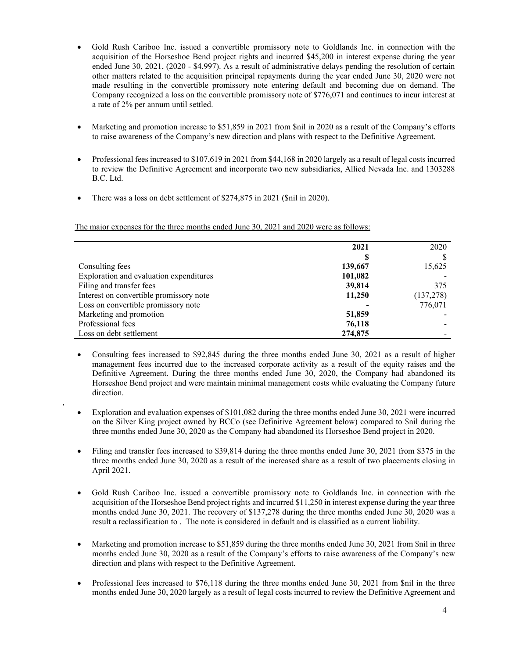- Gold Rush Cariboo Inc. issued a convertible promissory note to Goldlands Inc. in connection with the acquisition of the Horseshoe Bend project rights and incurred \$45,200 in interest expense during the year ended June 30, 2021, (2020 - \$4,997). As a result of administrative delays pending the resolution of certain other matters related to the acquisition principal repayments during the year ended June 30, 2020 were not made resulting in the convertible promissory note entering default and becoming due on demand. The Company recognized a loss on the convertible promissory note of \$776,071 and continues to incur interest at a rate of 2% per annum until settled.
- Marketing and promotion increase to \$51,859 in 2021 from \$nil in 2020 as a result of the Company's efforts to raise awareness of the Company's new direction and plans with respect to the Definitive Agreement.
- Professional fees increased to \$107,619 in 2021 from \$44,168 in 2020 largely as a result of legal costs incurred to review the Definitive Agreement and incorporate two new subsidiaries, Allied Nevada Inc. and 1303288 B.C. Ltd.
- There was a loss on debt settlement of \$274,875 in 2021 (\$nil in 2020).

,

The major expenses for the three months ended June 30, 2021 and 2020 were as follows:

|                                         | 2021    | 2020       |
|-----------------------------------------|---------|------------|
|                                         |         |            |
| Consulting fees                         | 139,667 | 15,625     |
| Exploration and evaluation expenditures | 101,082 |            |
| Filing and transfer fees                | 39,814  | 375        |
| Interest on convertible promissory note | 11,250  | (137, 278) |
| Loss on convertible promissory note     |         | 776,071    |
| Marketing and promotion                 | 51,859  |            |
| Professional fees                       | 76,118  |            |
| Loss on debt settlement                 | 274,875 |            |

- Consulting fees increased to \$92,845 during the three months ended June 30, 2021 as a result of higher management fees incurred due to the increased corporate activity as a result of the equity raises and the Definitive Agreement. During the three months ended June 30, 2020, the Company had abandoned its Horseshoe Bend project and were maintain minimal management costs while evaluating the Company future direction.
- Exploration and evaluation expenses of \$101,082 during the three months ended June 30, 2021 were incurred on the Silver King project owned by BCCo (see Definitive Agreement below) compared to \$nil during the three months ended June 30, 2020 as the Company had abandoned its Horseshoe Bend project in 2020.
- Filing and transfer fees increased to \$39,814 during the three months ended June 30, 2021 from \$375 in the three months ended June 30, 2020 as a result of the increased share as a result of two placements closing in April 2021.
- Gold Rush Cariboo Inc. issued a convertible promissory note to Goldlands Inc. in connection with the acquisition of the Horseshoe Bend project rights and incurred \$11,250 in interest expense during the year three months ended June 30, 2021. The recovery of \$137,278 during the three months ended June 30, 2020 was a result a reclassification to . The note is considered in default and is classified as a current liability.
- Marketing and promotion increase to \$51,859 during the three months ended June 30, 2021 from \$nil in three months ended June 30, 2020 as a result of the Company's efforts to raise awareness of the Company's new direction and plans with respect to the Definitive Agreement.
- Professional fees increased to \$76,118 during the three months ended June 30, 2021 from \$nil in the three months ended June 30, 2020 largely as a result of legal costs incurred to review the Definitive Agreement and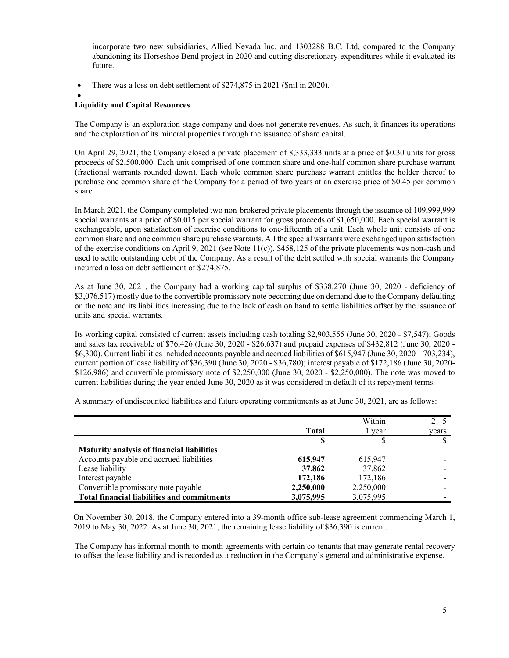incorporate two new subsidiaries, Allied Nevada Inc. and 1303288 B.C. Ltd, compared to the Company abandoning its Horseshoe Bend project in 2020 and cutting discretionary expenditures while it evaluated its future.

• There was a loss on debt settlement of \$274,875 in 2021 (\$nil in 2020).

 $\bullet$ 

# **Liquidity and Capital Resources**

The Company is an exploration-stage company and does not generate revenues. As such, it finances its operations and the exploration of its mineral properties through the issuance of share capital.

On April 29, 2021, the Company closed a private placement of 8,333,333 units at a price of \$0.30 units for gross proceeds of \$2,500,000. Each unit comprised of one common share and one-half common share purchase warrant (fractional warrants rounded down). Each whole common share purchase warrant entitles the holder thereof to purchase one common share of the Company for a period of two years at an exercise price of \$0.45 per common share.

In March 2021, the Company completed two non-brokered private placements through the issuance of 109,999,999 special warrants at a price of \$0.015 per special warrant for gross proceeds of \$1,650,000. Each special warrant is exchangeable, upon satisfaction of exercise conditions to one-fifteenth of a unit. Each whole unit consists of one common share and one common share purchase warrants. All the special warrants were exchanged upon satisfaction of the exercise conditions on April 9, 2021 (see Note  $11(c)$ ). \$458,125 of the private placements was non-cash and used to settle outstanding debt of the Company. As a result of the debt settled with special warrants the Company incurred a loss on debt settlement of \$274,875.

As at June 30, 2021, the Company had a working capital surplus of \$338,270 (June 30, 2020 - deficiency of \$3,076,517) mostly due to the convertible promissory note becoming due on demand due to the Company defaulting on the note and its liabilities increasing due to the lack of cash on hand to settle liabilities offset by the issuance of units and special warrants.

Its working capital consisted of current assets including cash totaling \$2,903,555 (June 30, 2020 - \$7,547); Goods and sales tax receivable of \$76,426 (June 30, 2020 - \$26,637) and prepaid expenses of \$432,812 (June 30, 2020 - \$6,300). Current liabilities included accounts payable and accrued liabilities of \$615,947 (June 30, 2020 – 703,234), current portion of lease liability of \$36,390 (June 30, 2020 - \$36,780); interest payable of \$172,186 (June 30, 2020- \$126,986) and convertible promissory note of \$2,250,000 (June 30, 2020 - \$2,250,000). The note was moved to current liabilities during the year ended June 30, 2020 as it was considered in default of its repayment terms.

A summary of undiscounted liabilities and future operating commitments as at June 30, 2021, are as follows:

|                                                    |              | Within    | $2 - 5$ |
|----------------------------------------------------|--------------|-----------|---------|
|                                                    | <b>Total</b> | l vear    | years   |
|                                                    |              |           |         |
| <b>Maturity analysis of financial liabilities</b>  |              |           |         |
| Accounts payable and accrued liabilities           | 615,947      | 615,947   |         |
| Lease liability                                    | 37,862       | 37,862    |         |
| Interest payable                                   | 172,186      | 172,186   |         |
| Convertible promissory note payable                | 2,250,000    | 2,250,000 |         |
| <b>Total financial liabilities and commitments</b> | 3,075,995    | 3,075,995 |         |

On November 30, 2018, the Company entered into a 39-month office sub-lease agreement commencing March 1, 2019 to May 30, 2022. As at June 30, 2021, the remaining lease liability of \$36,390 is current.

The Company has informal month-to-month agreements with certain co-tenants that may generate rental recovery to offset the lease liability and is recorded as a reduction in the Company's general and administrative expense.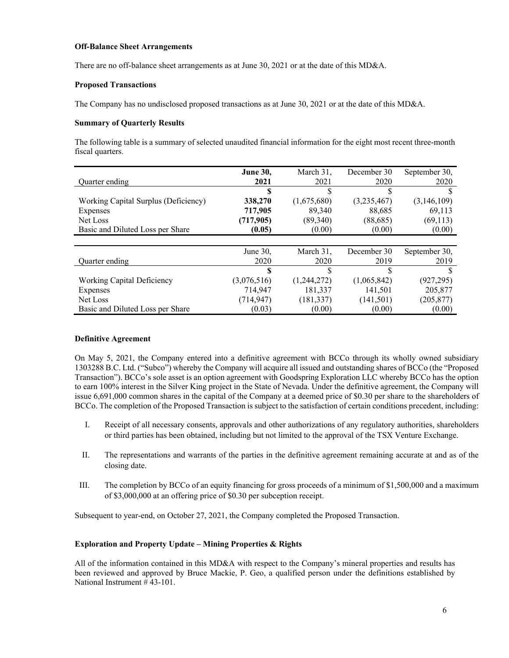#### **Off-Balance Sheet Arrangements**

There are no off-balance sheet arrangements as at June 30, 2021 or at the date of this MD&A.

### **Proposed Transactions**

The Company has no undisclosed proposed transactions as at June 30, 2021 or at the date of this MD&A.

## **Summary of Quarterly Results**

The following table is a summary of selected unaudited financial information for the eight most recent three-month fiscal quarters.

|                                      | <b>June 30,</b> | March 31,   | December 30 | September 30, |
|--------------------------------------|-----------------|-------------|-------------|---------------|
| Quarter ending                       | 2021            | 2021        | 2020        | 2020          |
|                                      |                 |             |             |               |
| Working Capital Surplus (Deficiency) | 338,270         | (1,675,680) | (3,235,467) | (3, 146, 109) |
| Expenses                             | 717,905         | 89,340      | 88.685      | 69.113        |
| Net Loss                             | (717, 905)      | (89,340)    | (88, 685)   | (69, 113)     |
| Basic and Diluted Loss per Share     | (0.05)          | (0.00)      | (0.00)      | (0.00)        |
|                                      |                 |             |             |               |
|                                      | June $30$ .     | March 31.   | December 30 | September 30, |
| Quarter ending                       | 2020            | 2020        | 2019        | 2019          |
|                                      | \$              |             |             |               |
| Working Capital Deficiency           | (3,076,516)     | (1,244,272) | (1,065,842) | (927, 295)    |
| Expenses                             | 714.947         | 181.337     | 141.501     | 205,877       |
| Net Loss                             | (714, 947)      | (181, 337)  | (141, 501)  | (205, 877)    |
| Basic and Diluted Loss per Share     | (0.03)          | (0.00)      | (0.00)      | (0.00)        |

### **Definitive Agreement**

On May 5, 2021, the Company entered into a definitive agreement with BCCo through its wholly owned subsidiary 1303288 B.C. Ltd. ("Subco") whereby the Company will acquire all issued and outstanding shares of BCCo (the "Proposed Transaction"). BCCo's sole asset is an option agreement with Goodspring Exploration LLC whereby BCCo has the option to earn 100% interest in the Silver King project in the State of Nevada. Under the definitive agreement, the Company will issue 6,691,000 common shares in the capital of the Company at a deemed price of \$0.30 per share to the shareholders of BCCo. The completion of the Proposed Transaction is subject to the satisfaction of certain conditions precedent, including:

- I. Receipt of all necessary consents, approvals and other authorizations of any regulatory authorities, shareholders or third parties has been obtained, including but not limited to the approval of the TSX Venture Exchange.
- II. The representations and warrants of the parties in the definitive agreement remaining accurate at and as of the closing date.
- III. The completion by BCCo of an equity financing for gross proceeds of a minimum of \$1,500,000 and a maximum of \$3,000,000 at an offering price of \$0.30 per subception receipt.

Subsequent to year-end, on October 27, 2021, the Company completed the Proposed Transaction.

# **Exploration and Property Update – Mining Properties & Rights**

All of the information contained in this MD&A with respect to the Company's mineral properties and results has been reviewed and approved by Bruce Mackie, P. Geo, a qualified person under the definitions established by National Instrument # 43-101.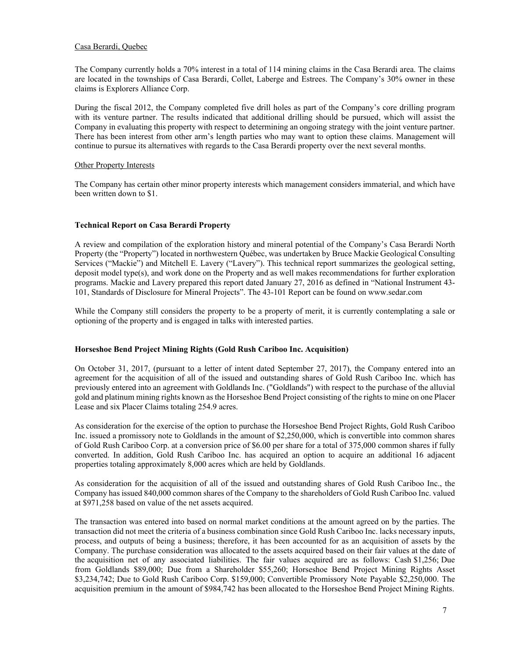# Casa Berardi, Quebec

The Company currently holds a 70% interest in a total of 114 mining claims in the Casa Berardi area. The claims are located in the townships of Casa Berardi, Collet, Laberge and Estrees. The Company's 30% owner in these claims is Explorers Alliance Corp.

During the fiscal 2012, the Company completed five drill holes as part of the Company's core drilling program with its venture partner. The results indicated that additional drilling should be pursued, which will assist the Company in evaluating this property with respect to determining an ongoing strategy with the joint venture partner. There has been interest from other arm's length parties who may want to option these claims. Management will continue to pursue its alternatives with regards to the Casa Berardi property over the next several months.

## Other Property Interests

The Company has certain other minor property interests which management considers immaterial, and which have been written down to \$1.

## **Technical Report on Casa Berardi Property**

A review and compilation of the exploration history and mineral potential of the Company's Casa Berardi North Property (the "Property") located in northwestern Québec, was undertaken by Bruce Mackie Geological Consulting Services ("Mackie") and Mitchell E. Lavery ("Lavery"). This technical report summarizes the geological setting, deposit model type(s), and work done on the Property and as well makes recommendations for further exploration programs. Mackie and Lavery prepared this report dated January 27, 2016 as defined in "National Instrument 43- 101, Standards of Disclosure for Mineral Projects". The 43-101 Report can be found on www.sedar.com

While the Company still considers the property to be a property of merit, it is currently contemplating a sale or optioning of the property and is engaged in talks with interested parties.

# **Horseshoe Bend Project Mining Rights (Gold Rush Cariboo Inc. Acquisition)**

On October 31, 2017, (pursuant to a letter of intent dated September 27, 2017), the Company entered into an agreement for the acquisition of all of the issued and outstanding shares of Gold Rush Cariboo Inc. which has previously entered into an agreement with Goldlands Inc. ("Goldlands") with respect to the purchase of the alluvial gold and platinum mining rights known as the Horseshoe Bend Project consisting of the rights to mine on one Placer Lease and six Placer Claims totaling 254.9 acres.

As consideration for the exercise of the option to purchase the Horseshoe Bend Project Rights, Gold Rush Cariboo Inc. issued a promissory note to Goldlands in the amount of \$2,250,000, which is convertible into common shares of Gold Rush Cariboo Corp. at a conversion price of \$6.00 per share for a total of 375,000 common shares if fully converted. In addition, Gold Rush Cariboo Inc. has acquired an option to acquire an additional 16 adjacent properties totaling approximately 8,000 acres which are held by Goldlands.

As consideration for the acquisition of all of the issued and outstanding shares of Gold Rush Cariboo Inc., the Company has issued 840,000 common shares of the Company to the shareholders of Gold Rush Cariboo Inc. valued at \$971,258 based on value of the net assets acquired.

The transaction was entered into based on normal market conditions at the amount agreed on by the parties. The transaction did not meet the criteria of a business combination since Gold Rush Cariboo Inc. lacks necessary inputs, process, and outputs of being a business; therefore, it has been accounted for as an acquisition of assets by the Company. The purchase consideration was allocated to the assets acquired based on their fair values at the date of the acquisition net of any associated liabilities. The fair values acquired are as follows: Cash \$1,256; Due from Goldlands \$89,000; Due from a Shareholder \$55,260; Horseshoe Bend Project Mining Rights Asset \$3,234,742; Due to Gold Rush Cariboo Corp. \$159,000; Convertible Promissory Note Payable \$2,250,000. The acquisition premium in the amount of \$984,742 has been allocated to the Horseshoe Bend Project Mining Rights.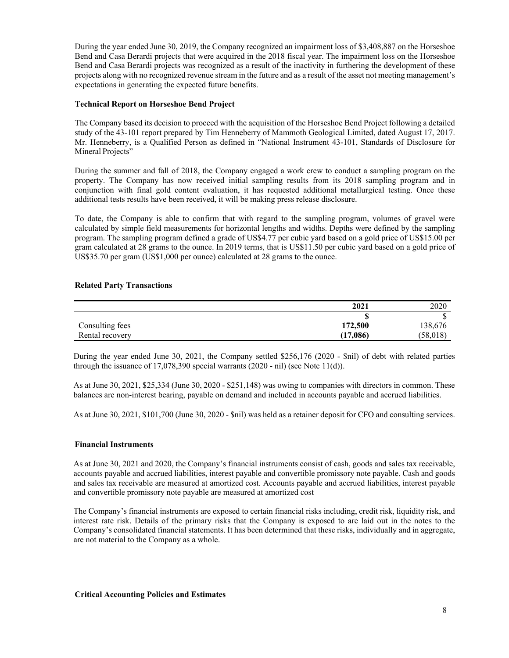During the year ended June 30, 2019, the Company recognized an impairment loss of \$3,408,887 on the Horseshoe Bend and Casa Berardi projects that were acquired in the 2018 fiscal year. The impairment loss on the Horseshoe Bend and Casa Berardi projects was recognized as a result of the inactivity in furthering the development of these projects along with no recognized revenue stream in the future and as a result of the asset not meeting management's expectations in generating the expected future benefits.

## **Technical Report on Horseshoe Bend Project**

The Company based its decision to proceed with the acquisition of the Horseshoe Bend Project following a detailed study of the 43-101 report prepared by Tim Henneberry of Mammoth Geological Limited, dated August 17, 2017. Mr. Henneberry, is a Qualified Person as defined in "National Instrument 43-101, Standards of Disclosure for Mineral Projects"

During the summer and fall of 2018, the Company engaged a work crew to conduct a sampling program on the property. The Company has now received initial sampling results from its 2018 sampling program and in conjunction with final gold content evaluation, it has requested additional metallurgical testing. Once these additional tests results have been received, it will be making press release disclosure.

To date, the Company is able to confirm that with regard to the sampling program, volumes of gravel were calculated by simple field measurements for horizontal lengths and widths. Depths were defined by the sampling program. The sampling program defined a grade of US\$4.77 per cubic yard based on a gold price of US\$15.00 per gram calculated at 28 grams to the ounce. In 2019 terms, that is US\$11.50 per cubic yard based on a gold price of US\$35.70 per gram (US\$1,000 per ounce) calculated at 28 grams to the ounce.

## **Related Party Transactions**

|                 | 2021     | 2020      |
|-----------------|----------|-----------|
|                 |          |           |
| Consulting fees | 172,500  | 138,676   |
| Rental recovery | (17,086) | (58, 018) |

During the year ended June 30, 2021, the Company settled \$256,176 (2020 - \$nil) of debt with related parties through the issuance of  $17,078,390$  special warrants (2020 - nil) (see Note 11(d)).

As at June 30, 2021, \$25,334 (June 30, 2020 - \$251,148) was owing to companies with directors in common. These balances are non-interest bearing, payable on demand and included in accounts payable and accrued liabilities.

As at June 30, 2021, \$101,700 (June 30, 2020 - \$nil) was held as a retainer deposit for CFO and consulting services.

### **Financial Instruments**

As at June 30, 2021 and 2020, the Company's financial instruments consist of cash, goods and sales tax receivable, accounts payable and accrued liabilities, interest payable and convertible promissory note payable. Cash and goods and sales tax receivable are measured at amortized cost. Accounts payable and accrued liabilities, interest payable and convertible promissory note payable are measured at amortized cost

The Company's financial instruments are exposed to certain financial risks including, credit risk, liquidity risk, and interest rate risk. Details of the primary risks that the Company is exposed to are laid out in the notes to the Company's consolidated financial statements. It has been determined that these risks, individually and in aggregate, are not material to the Company as a whole.

### **Critical Accounting Policies and Estimates**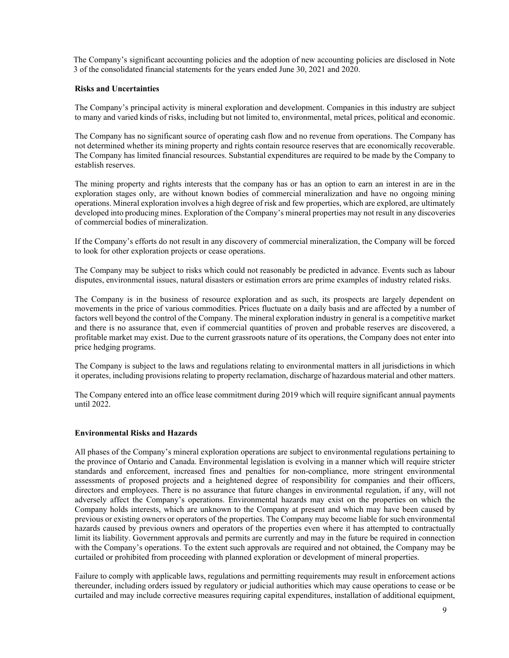The Company's significant accounting policies and the adoption of new accounting policies are disclosed in Note 3 of the consolidated financial statements for the years ended June 30, 2021 and 2020.

### **Risks and Uncertainties**

The Company's principal activity is mineral exploration and development. Companies in this industry are subject to many and varied kinds of risks, including but not limited to, environmental, metal prices, political and economic.

The Company has no significant source of operating cash flow and no revenue from operations. The Company has not determined whether its mining property and rights contain resource reserves that are economically recoverable. The Company has limited financial resources. Substantial expenditures are required to be made by the Company to establish reserves.

The mining property and rights interests that the company has or has an option to earn an interest in are in the exploration stages only, are without known bodies of commercial mineralization and have no ongoing mining operations. Mineral exploration involves a high degree of risk and few properties, which are explored, are ultimately developed into producing mines. Exploration of the Company's mineral properties may not result in any discoveries of commercial bodies of mineralization.

If the Company's efforts do not result in any discovery of commercial mineralization, the Company will be forced to look for other exploration projects or cease operations.

The Company may be subject to risks which could not reasonably be predicted in advance. Events such as labour disputes, environmental issues, natural disasters or estimation errors are prime examples of industry related risks.

The Company is in the business of resource exploration and as such, its prospects are largely dependent on movements in the price of various commodities. Prices fluctuate on a daily basis and are affected by a number of factors well beyond the control of the Company. The mineral exploration industry in general is a competitive market and there is no assurance that, even if commercial quantities of proven and probable reserves are discovered, a profitable market may exist. Due to the current grassroots nature of its operations, the Company does not enter into price hedging programs.

The Company is subject to the laws and regulations relating to environmental matters in all jurisdictions in which it operates, including provisions relating to property reclamation, discharge of hazardous material and other matters.

The Company entered into an office lease commitment during 2019 which will require significant annual payments until 2022.

### **Environmental Risks and Hazards**

All phases of the Company's mineral exploration operations are subject to environmental regulations pertaining to the province of Ontario and Canada. Environmental legislation is evolving in a manner which will require stricter standards and enforcement, increased fines and penalties for non-compliance, more stringent environmental assessments of proposed projects and a heightened degree of responsibility for companies and their officers, directors and employees. There is no assurance that future changes in environmental regulation, if any, will not adversely affect the Company's operations. Environmental hazards may exist on the properties on which the Company holds interests, which are unknown to the Company at present and which may have been caused by previous or existing owners or operators of the properties. The Company may become liable for such environmental hazards caused by previous owners and operators of the properties even where it has attempted to contractually limit its liability. Government approvals and permits are currently and may in the future be required in connection with the Company's operations. To the extent such approvals are required and not obtained, the Company may be curtailed or prohibited from proceeding with planned exploration or development of mineral properties.

Failure to comply with applicable laws, regulations and permitting requirements may result in enforcement actions thereunder, including orders issued by regulatory or judicial authorities which may cause operations to cease or be curtailed and may include corrective measures requiring capital expenditures, installation of additional equipment,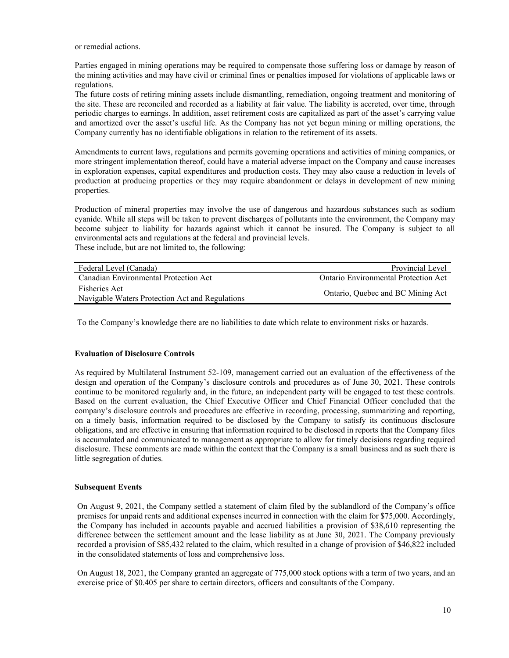or remedial actions.

Parties engaged in mining operations may be required to compensate those suffering loss or damage by reason of the mining activities and may have civil or criminal fines or penalties imposed for violations of applicable laws or regulations.

The future costs of retiring mining assets include dismantling, remediation, ongoing treatment and monitoring of the site. These are reconciled and recorded as a liability at fair value. The liability is accreted, over time, through periodic charges to earnings. In addition, asset retirement costs are capitalized as part of the asset's carrying value and amortized over the asset's useful life. As the Company has not yet begun mining or milling operations, the Company currently has no identifiable obligations in relation to the retirement of its assets.

Amendments to current laws, regulations and permits governing operations and activities of mining companies, or more stringent implementation thereof, could have a material adverse impact on the Company and cause increases in exploration expenses, capital expenditures and production costs. They may also cause a reduction in levels of production at producing properties or they may require abandonment or delays in development of new mining properties.

Production of mineral properties may involve the use of dangerous and hazardous substances such as sodium cyanide. While all steps will be taken to prevent discharges of pollutants into the environment, the Company may become subject to liability for hazards against which it cannot be insured. The Company is subject to all environmental acts and regulations at the federal and provincial levels. These include, but are not limited to, the following:

| Federal Level (Canada)                                           | Provincial Level                     |
|------------------------------------------------------------------|--------------------------------------|
| Canadian Environmental Protection Act                            | Ontario Environmental Protection Act |
| Fisheries Act<br>Navigable Waters Protection Act and Regulations | Ontario, Quebec and BC Mining Act    |

To the Company's knowledge there are no liabilities to date which relate to environment risks or hazards.

# **Evaluation of Disclosure Controls**

As required by Multilateral Instrument 52-109, management carried out an evaluation of the effectiveness of the design and operation of the Company's disclosure controls and procedures as of June 30, 2021. These controls continue to be monitored regularly and, in the future, an independent party will be engaged to test these controls. Based on the current evaluation, the Chief Executive Officer and Chief Financial Officer concluded that the company's disclosure controls and procedures are effective in recording, processing, summarizing and reporting, on a timely basis, information required to be disclosed by the Company to satisfy its continuous disclosure obligations, and are effective in ensuring that information required to be disclosed in reports that the Company files is accumulated and communicated to management as appropriate to allow for timely decisions regarding required disclosure. These comments are made within the context that the Company is a small business and as such there is little segregation of duties.

### **Subsequent Events**

On August 9, 2021, the Company settled a statement of claim filed by the sublandlord of the Company's office premises for unpaid rents and additional expenses incurred in connection with the claim for \$75,000. Accordingly, the Company has included in accounts payable and accrued liabilities a provision of \$38,610 representing the difference between the settlement amount and the lease liability as at June 30, 2021. The Company previously recorded a provision of \$85,432 related to the claim, which resulted in a change of provision of \$46,822 included in the consolidated statements of loss and comprehensive loss.

On August 18, 2021, the Company granted an aggregate of 775,000 stock options with a term of two years, and an exercise price of \$0.405 per share to certain directors, officers and consultants of the Company.